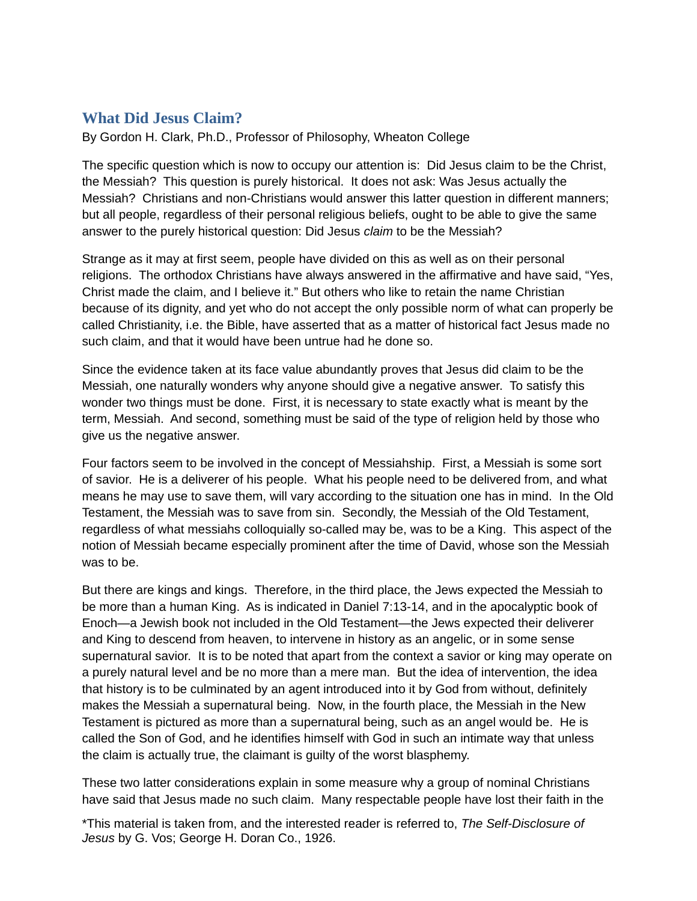## **What Did Jesus Claim?**

By Gordon H. Clark, Ph.D., Professor of Philosophy, Wheaton College

The specific question which is now to occupy our attention is: Did Jesus claim to be the Christ, the Messiah? This question is purely historical. It does not ask: Was Jesus actually the Messiah? Christians and non-Christians would answer this latter question in different manners; but all people, regardless of their personal religious beliefs, ought to be able to give the same answer to the purely historical question: Did Jesus *claim* to be the Messiah?

Strange as it may at first seem, people have divided on this as well as on their personal religions. The orthodox Christians have always answered in the affirmative and have said, "Yes, Christ made the claim, and I believe it." But others who like to retain the name Christian because of its dignity, and yet who do not accept the only possible norm of what can properly be called Christianity, i.e. the Bible, have asserted that as a matter of historical fact Jesus made no such claim, and that it would have been untrue had he done so.

Since the evidence taken at its face value abundantly proves that Jesus did claim to be the Messiah, one naturally wonders why anyone should give a negative answer. To satisfy this wonder two things must be done. First, it is necessary to state exactly what is meant by the term, Messiah. And second, something must be said of the type of religion held by those who give us the negative answer.

Four factors seem to be involved in the concept of Messiahship. First, a Messiah is some sort of savior. He is a deliverer of his people. What his people need to be delivered from, and what means he may use to save them, will vary according to the situation one has in mind. In the Old Testament, the Messiah was to save from sin. Secondly, the Messiah of the Old Testament, regardless of what messiahs colloquially so-called may be, was to be a King. This aspect of the notion of Messiah became especially prominent after the time of David, whose son the Messiah was to be.

But there are kings and kings. Therefore, in the third place, the Jews expected the Messiah to be more than a human King. As is indicated in Daniel 7:13-14, and in the apocalyptic book of Enoch—a Jewish book not included in the Old Testament—the Jews expected their deliverer and King to descend from heaven, to intervene in history as an angelic, or in some sense supernatural savior. It is to be noted that apart from the context a savior or king may operate on a purely natural level and be no more than a mere man. But the idea of intervention, the idea that history is to be culminated by an agent introduced into it by God from without, definitely makes the Messiah a supernatural being. Now, in the fourth place, the Messiah in the New Testament is pictured as more than a supernatural being, such as an angel would be. He is called the Son of God, and he identifies himself with God in such an intimate way that unless the claim is actually true, the claimant is guilty of the worst blasphemy.

These two latter considerations explain in some measure why a group of nominal Christians have said that Jesus made no such claim. Many respectable people have lost their faith in the

\*This material is taken from, and the interested reader is referred to, *The Self-Disclosure of Jesus* by G. Vos; George H. Doran Co., 1926.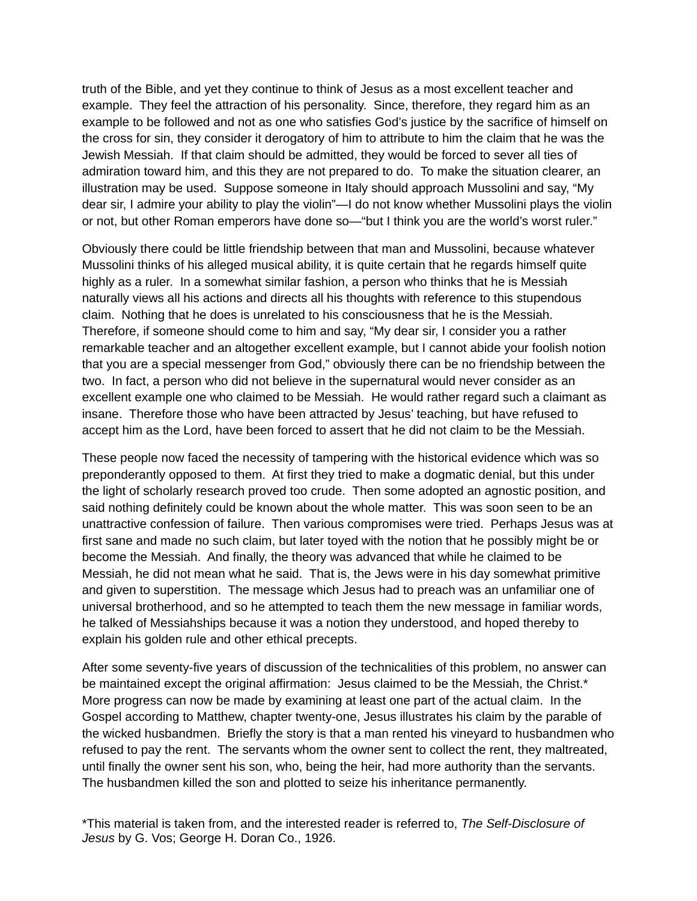truth of the Bible, and yet they continue to think of Jesus as a most excellent teacher and example. They feel the attraction of his personality. Since, therefore, they regard him as an example to be followed and not as one who satisfies God's justice by the sacrifice of himself on the cross for sin, they consider it derogatory of him to attribute to him the claim that he was the Jewish Messiah. If that claim should be admitted, they would be forced to sever all ties of admiration toward him, and this they are not prepared to do. To make the situation clearer, an illustration may be used. Suppose someone in Italy should approach Mussolini and say, "My dear sir, I admire your ability to play the violin"—I do not know whether Mussolini plays the violin or not, but other Roman emperors have done so—"but I think you are the world's worst ruler."

Obviously there could be little friendship between that man and Mussolini, because whatever Mussolini thinks of his alleged musical ability, it is quite certain that he regards himself quite highly as a ruler. In a somewhat similar fashion, a person who thinks that he is Messiah naturally views all his actions and directs all his thoughts with reference to this stupendous claim. Nothing that he does is unrelated to his consciousness that he is the Messiah. Therefore, if someone should come to him and say, "My dear sir, I consider you a rather remarkable teacher and an altogether excellent example, but I cannot abide your foolish notion that you are a special messenger from God," obviously there can be no friendship between the two. In fact, a person who did not believe in the supernatural would never consider as an excellent example one who claimed to be Messiah. He would rather regard such a claimant as insane. Therefore those who have been attracted by Jesus' teaching, but have refused to accept him as the Lord, have been forced to assert that he did not claim to be the Messiah.

These people now faced the necessity of tampering with the historical evidence which was so preponderantly opposed to them. At first they tried to make a dogmatic denial, but this under the light of scholarly research proved too crude. Then some adopted an agnostic position, and said nothing definitely could be known about the whole matter. This was soon seen to be an unattractive confession of failure. Then various compromises were tried. Perhaps Jesus was at first sane and made no such claim, but later toyed with the notion that he possibly might be or become the Messiah. And finally, the theory was advanced that while he claimed to be Messiah, he did not mean what he said. That is, the Jews were in his day somewhat primitive and given to superstition. The message which Jesus had to preach was an unfamiliar one of universal brotherhood, and so he attempted to teach them the new message in familiar words, he talked of Messiahships because it was a notion they understood, and hoped thereby to explain his golden rule and other ethical precepts.

After some seventy-five years of discussion of the technicalities of this problem, no answer can be maintained except the original affirmation: Jesus claimed to be the Messiah, the Christ.\* More progress can now be made by examining at least one part of the actual claim. In the Gospel according to Matthew, chapter twenty-one, Jesus illustrates his claim by the parable of the wicked husbandmen. Briefly the story is that a man rented his vineyard to husbandmen who refused to pay the rent. The servants whom the owner sent to collect the rent, they maltreated, until finally the owner sent his son, who, being the heir, had more authority than the servants. The husbandmen killed the son and plotted to seize his inheritance permanently.

\*This material is taken from, and the interested reader is referred to, *The Self-Disclosure of Jesus* by G. Vos; George H. Doran Co., 1926.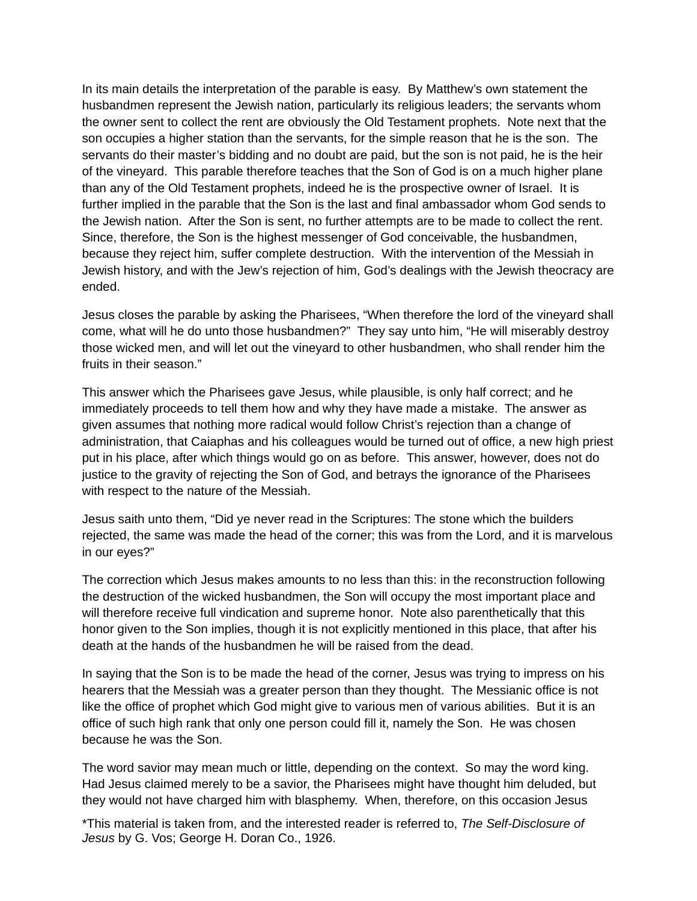In its main details the interpretation of the parable is easy. By Matthew's own statement the husbandmen represent the Jewish nation, particularly its religious leaders; the servants whom the owner sent to collect the rent are obviously the Old Testament prophets. Note next that the son occupies a higher station than the servants, for the simple reason that he is the son. The servants do their master's bidding and no doubt are paid, but the son is not paid, he is the heir of the vineyard. This parable therefore teaches that the Son of God is on a much higher plane than any of the Old Testament prophets, indeed he is the prospective owner of Israel. It is further implied in the parable that the Son is the last and final ambassador whom God sends to the Jewish nation. After the Son is sent, no further attempts are to be made to collect the rent. Since, therefore, the Son is the highest messenger of God conceivable, the husbandmen, because they reject him, suffer complete destruction. With the intervention of the Messiah in Jewish history, and with the Jew's rejection of him, God's dealings with the Jewish theocracy are ended.

Jesus closes the parable by asking the Pharisees, "When therefore the lord of the vineyard shall come, what will he do unto those husbandmen?" They say unto him, "He will miserably destroy those wicked men, and will let out the vineyard to other husbandmen, who shall render him the fruits in their season."

This answer which the Pharisees gave Jesus, while plausible, is only half correct; and he immediately proceeds to tell them how and why they have made a mistake. The answer as given assumes that nothing more radical would follow Christ's rejection than a change of administration, that Caiaphas and his colleagues would be turned out of office, a new high priest put in his place, after which things would go on as before. This answer, however, does not do justice to the gravity of rejecting the Son of God, and betrays the ignorance of the Pharisees with respect to the nature of the Messiah.

Jesus saith unto them, "Did ye never read in the Scriptures: The stone which the builders rejected, the same was made the head of the corner; this was from the Lord, and it is marvelous in our eyes?"

The correction which Jesus makes amounts to no less than this: in the reconstruction following the destruction of the wicked husbandmen, the Son will occupy the most important place and will therefore receive full vindication and supreme honor. Note also parenthetically that this honor given to the Son implies, though it is not explicitly mentioned in this place, that after his death at the hands of the husbandmen he will be raised from the dead.

In saying that the Son is to be made the head of the corner, Jesus was trying to impress on his hearers that the Messiah was a greater person than they thought. The Messianic office is not like the office of prophet which God might give to various men of various abilities. But it is an office of such high rank that only one person could fill it, namely the Son. He was chosen because he was the Son.

The word savior may mean much or little, depending on the context. So may the word king. Had Jesus claimed merely to be a savior, the Pharisees might have thought him deluded, but they would not have charged him with blasphemy. When, therefore, on this occasion Jesus

\*This material is taken from, and the interested reader is referred to, *The Self-Disclosure of Jesus* by G. Vos; George H. Doran Co., 1926.